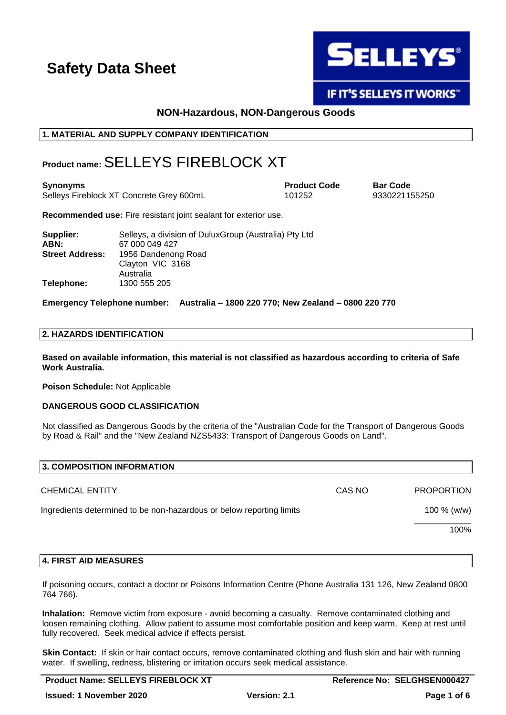

**IF IT'S SELLEYS IT WORKS"** 

# **NON-Hazardous, NON-Dangerous Goods**

### **1. MATERIAL AND SUPPLY COMPANY IDENTIFICATION**

# **Product name:**SELLEYS FIREBLOCK XT

| Synonyms                                 | <b>Product Code</b> | <b>Bar Code</b> |
|------------------------------------------|---------------------|-----------------|
| Selleys Fireblock XT Concrete Grey 600mL | 101252              | 93302211        |

9330221155250

**Recommended use:** Fire resistant joint sealant for exterior use.

| Supplier:              | Selleys, a division of DuluxGroup (Australia) Pty Ltd |
|------------------------|-------------------------------------------------------|
| ABN:                   | 67 000 049 427                                        |
| <b>Street Address:</b> | 1956 Dandenong Road                                   |
|                        | Clayton VIC 3168                                      |
|                        | Australia                                             |
| Telephone:             | 1300 555 205                                          |

**Emergency Telephone number: Australia – 1800 220 770; New Zealand – 0800 220 770**

### **2. HAZARDS IDENTIFICATION**

**Based on available information, this material is not classified as hazardous according to criteria of Safe Work Australia.**

**Poison Schedule:** Not Applicable

### **DANGEROUS GOOD CLASSIFICATION**

Not classified as Dangerous Goods by the criteria of the "Australian Code for the Transport of Dangerous Goods by Road & Rail" and the "New Zealand NZS5433: Transport of Dangerous Goods on Land".

| 3. COMPOSITION INFORMATION                                           |        |                   |
|----------------------------------------------------------------------|--------|-------------------|
| <b>CHEMICAL ENTITY</b>                                               | CAS NO | <b>PROPORTION</b> |
| Ingredients determined to be non-hazardous or below reporting limits |        | 100 % (w/w)       |
|                                                                      |        | 100%              |
|                                                                      |        |                   |

### **4. FIRST AID MEASURES**

If poisoning occurs, contact a doctor or Poisons Information Centre (Phone Australia 131 126, New Zealand 0800 764 766).

**Inhalation:** Remove victim from exposure - avoid becoming a casualty. Remove contaminated clothing and loosen remaining clothing. Allow patient to assume most comfortable position and keep warm. Keep at rest until fully recovered. Seek medical advice if effects persist.

**Skin Contact:** If skin or hair contact occurs, remove contaminated clothing and flush skin and hair with running water. If swelling, redness, blistering or irritation occurs seek medical assistance.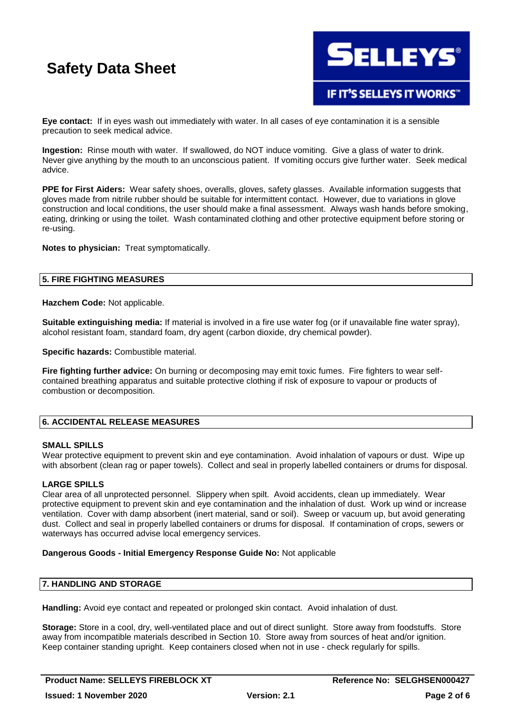

**Eye contact:** If in eyes wash out immediately with water. In all cases of eye contamination it is a sensible precaution to seek medical advice.

**Ingestion:** Rinse mouth with water. If swallowed, do NOT induce vomiting. Give a glass of water to drink. Never give anything by the mouth to an unconscious patient. If vomiting occurs give further water. Seek medical advice.

**PPE for First Aiders:** Wear safety shoes, overalls, gloves, safety glasses. Available information suggests that gloves made from nitrile rubber should be suitable for intermittent contact. However, due to variations in glove construction and local conditions, the user should make a final assessment. Always wash hands before smoking, eating, drinking or using the toilet. Wash contaminated clothing and other protective equipment before storing or re-using.

**Notes to physician:** Treat symptomatically.

### **5. FIRE FIGHTING MEASURES**

**Hazchem Code:** Not applicable.

**Suitable extinguishing media:** If material is involved in a fire use water fog (or if unavailable fine water spray), alcohol resistant foam, standard foam, dry agent (carbon dioxide, dry chemical powder).

**Specific hazards:** Combustible material.

**Fire fighting further advice:** On burning or decomposing may emit toxic fumes. Fire fighters to wear selfcontained breathing apparatus and suitable protective clothing if risk of exposure to vapour or products of combustion or decomposition.

### **6. ACCIDENTAL RELEASE MEASURES**

### **SMALL SPILLS**

Wear protective equipment to prevent skin and eye contamination. Avoid inhalation of vapours or dust. Wipe up with absorbent (clean rag or paper towels). Collect and seal in properly labelled containers or drums for disposal.

### **LARGE SPILLS**

Clear area of all unprotected personnel. Slippery when spilt. Avoid accidents, clean up immediately. Wear protective equipment to prevent skin and eye contamination and the inhalation of dust. Work up wind or increase ventilation. Cover with damp absorbent (inert material, sand or soil). Sweep or vacuum up, but avoid generating dust. Collect and seal in properly labelled containers or drums for disposal. If contamination of crops, sewers or waterways has occurred advise local emergency services.

### **Dangerous Goods - Initial Emergency Response Guide No:** Not applicable

## **7. HANDLING AND STORAGE**

**Handling:** Avoid eye contact and repeated or prolonged skin contact. Avoid inhalation of dust.

**Storage:** Store in a cool, dry, well-ventilated place and out of direct sunlight. Store away from foodstuffs. Store away from incompatible materials described in Section 10. Store away from sources of heat and/or ignition. Keep container standing upright. Keep containers closed when not in use - check regularly for spills.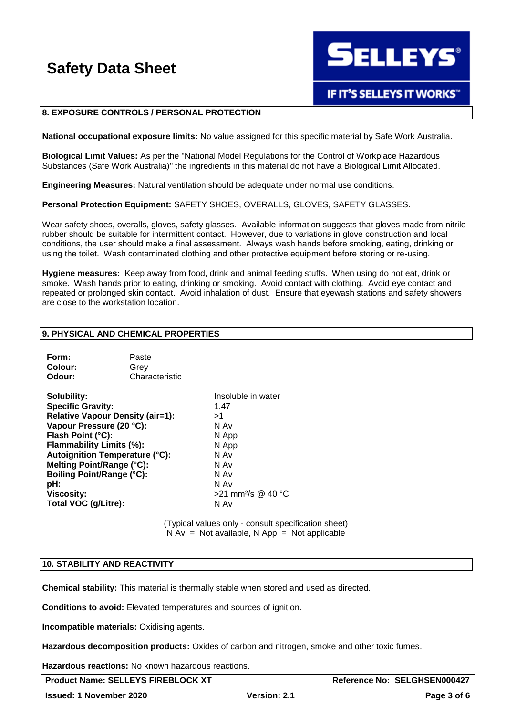**SELLEYS®** 

# **IF IT'S SELLEYS IT WORKS"**

### **8. EXPOSURE CONTROLS / PERSONAL PROTECTION**

**National occupational exposure limits:** No value assigned for this specific material by Safe Work Australia.

**Biological Limit Values:** As per the "National Model Regulations for the Control of Workplace Hazardous Substances (Safe Work Australia)" the ingredients in this material do not have a Biological Limit Allocated.

**Engineering Measures:** Natural ventilation should be adequate under normal use conditions.

**Personal Protection Equipment:** SAFETY SHOES, OVERALLS, GLOVES, SAFETY GLASSES.

Wear safety shoes, overalls, gloves, safety glasses. Available information suggests that gloves made from nitrile rubber should be suitable for intermittent contact. However, due to variations in glove construction and local conditions, the user should make a final assessment. Always wash hands before smoking, eating, drinking or using the toilet. Wash contaminated clothing and other protective equipment before storing or re-using.

**Hygiene measures:** Keep away from food, drink and animal feeding stuffs. When using do not eat, drink or smoke. Wash hands prior to eating, drinking or smoking. Avoid contact with clothing. Avoid eye contact and repeated or prolonged skin contact. Avoid inhalation of dust. Ensure that eyewash stations and safety showers are close to the workstation location.

### **9. PHYSICAL AND CHEMICAL PROPERTIES**

| Form:   | Paste          |
|---------|----------------|
| Colour: | Grev           |
| Odour:  | Characteristic |

| <b>Solubility:</b>                    | Insoluble in water             |
|---------------------------------------|--------------------------------|
| <b>Specific Gravity:</b>              | 1.47                           |
| Relative Vapour Density (air=1):      | >1                             |
| Vapour Pressure (20 °C):              | N Av                           |
| Flash Point (°C):                     | N App                          |
| Flammability Limits (%):              | N App                          |
| <b>Autoignition Temperature (°C):</b> | N Av                           |
| Melting Point/Range (°C):             | N Av                           |
| <b>Boiling Point/Range (°C):</b>      | N Av                           |
| pH:                                   | N Av                           |
| <b>Viscosity:</b>                     | >21 mm <sup>2</sup> /s @ 40 °C |
| Total VOC (g/Litre):                  | N Av                           |

(Typical values only - consult specification sheet)  $N Av = Not available, N App = Not applicable$ 

#### **10. STABILITY AND REACTIVITY**

**Chemical stability:** This material is thermally stable when stored and used as directed.

**Conditions to avoid:** Elevated temperatures and sources of ignition.

**Incompatible materials:** Oxidising agents.

**Hazardous decomposition products:** Oxides of carbon and nitrogen, smoke and other toxic fumes.

**Hazardous reactions:** No known hazardous reactions.

**Product Name: SELLEYS FIREBLOCK XT** Reference No: SELGHSEN000427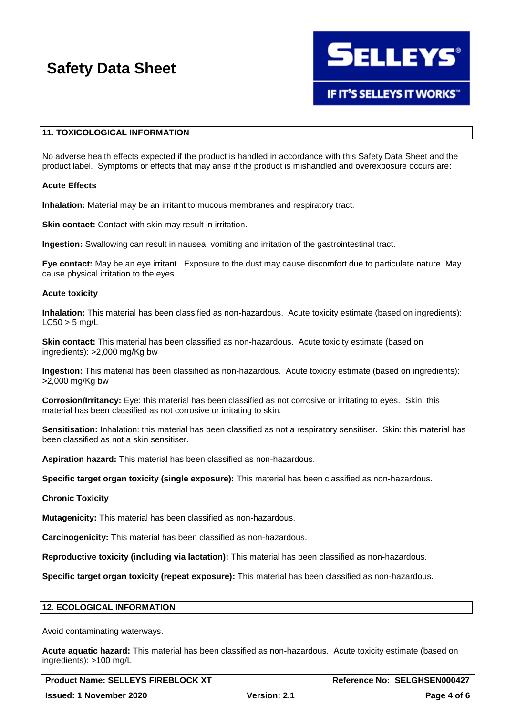

## **11. TOXICOLOGICAL INFORMATION**

No adverse health effects expected if the product is handled in accordance with this Safety Data Sheet and the product label. Symptoms or effects that may arise if the product is mishandled and overexposure occurs are:

### **Acute Effects**

**Inhalation:** Material may be an irritant to mucous membranes and respiratory tract.

**Skin contact:** Contact with skin may result in irritation.

**Ingestion:** Swallowing can result in nausea, vomiting and irritation of the gastrointestinal tract.

**Eye contact:** May be an eye irritant. Exposure to the dust may cause discomfort due to particulate nature. May cause physical irritation to the eyes.

### **Acute toxicity**

**Inhalation:** This material has been classified as non-hazardous. Acute toxicity estimate (based on ingredients):  $LC50 > 5$  mg/L

**Skin contact:** This material has been classified as non-hazardous. Acute toxicity estimate (based on ingredients): >2,000 mg/Kg bw

**Ingestion:** This material has been classified as non-hazardous. Acute toxicity estimate (based on ingredients): >2,000 mg/Kg bw

**Corrosion/Irritancy:** Eye: this material has been classified as not corrosive or irritating to eyes. Skin: this material has been classified as not corrosive or irritating to skin.

**Sensitisation:** Inhalation: this material has been classified as not a respiratory sensitiser. Skin: this material has been classified as not a skin sensitiser.

**Aspiration hazard:** This material has been classified as non-hazardous.

**Specific target organ toxicity (single exposure):** This material has been classified as non-hazardous.

### **Chronic Toxicity**

**Mutagenicity:** This material has been classified as non-hazardous.

**Carcinogenicity:** This material has been classified as non-hazardous.

**Reproductive toxicity (including via lactation):** This material has been classified as non-hazardous.

**Specific target organ toxicity (repeat exposure):** This material has been classified as non-hazardous.

### **12. ECOLOGICAL INFORMATION**

Avoid contaminating waterways.

**Acute aquatic hazard:** This material has been classified as non-hazardous. Acute toxicity estimate (based on ingredients): >100 mg/L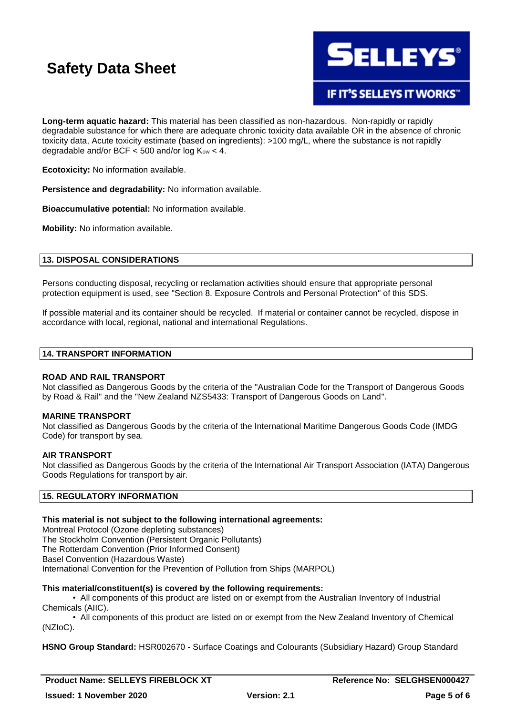

**IF IT'S SELLEYS IT WORKS"** 

**Long-term aquatic hazard:** This material has been classified as non-hazardous. Non-rapidly or rapidly degradable substance for which there are adequate chronic toxicity data available OR in the absence of chronic toxicity data, Acute toxicity estimate (based on ingredients): >100 mg/L, where the substance is not rapidly degradable and/or BCF  $<$  500 and/or log  $K_{ow}$  < 4.

**Ecotoxicity:** No information available.

**Persistence and degradability:** No information available.

**Bioaccumulative potential:** No information available.

**Mobility:** No information available.

### **13. DISPOSAL CONSIDERATIONS**

Persons conducting disposal, recycling or reclamation activities should ensure that appropriate personal protection equipment is used, see "Section 8. Exposure Controls and Personal Protection" of this SDS.

If possible material and its container should be recycled. If material or container cannot be recycled, dispose in accordance with local, regional, national and international Regulations.

### **14. TRANSPORT INFORMATION**

### **ROAD AND RAIL TRANSPORT**

Not classified as Dangerous Goods by the criteria of the "Australian Code for the Transport of Dangerous Goods by Road & Rail" and the "New Zealand NZS5433: Transport of Dangerous Goods on Land".

### **MARINE TRANSPORT**

Not classified as Dangerous Goods by the criteria of the International Maritime Dangerous Goods Code (IMDG Code) for transport by sea.

### **AIR TRANSPORT**

Not classified as Dangerous Goods by the criteria of the International Air Transport Association (IATA) Dangerous Goods Regulations for transport by air.

# **15. REGULATORY INFORMATION**

### **This material is not subject to the following international agreements:**

Montreal Protocol (Ozone depleting substances) The Stockholm Convention (Persistent Organic Pollutants) The Rotterdam Convention (Prior Informed Consent) Basel Convention (Hazardous Waste) International Convention for the Prevention of Pollution from Ships (MARPOL)

### **This material/constituent(s) is covered by the following requirements:**

• All components of this product are listed on or exempt from the Australian Inventory of Industrial Chemicals (AIIC).

• All components of this product are listed on or exempt from the New Zealand Inventory of Chemical (NZIoC).

**HSNO Group Standard:** HSR002670 - Surface Coatings and Colourants (Subsidiary Hazard) Group Standard